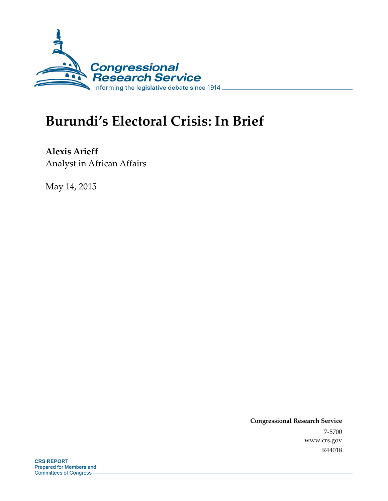

# **Burundi's Electoral Crisis: In Brief**

**Alexis Arieff**  Analyst in African Affairs

May 14, 2015

**Congressional Research Service**  7-5700 www.crs.gov R44018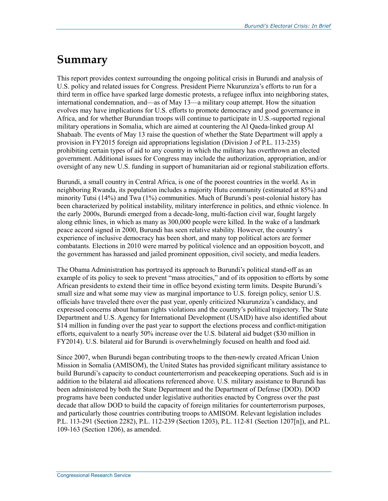## **Summary**

This report provides context surrounding the ongoing political crisis in Burundi and analysis of U.S. policy and related issues for Congress. President Pierre Nkurunziza's efforts to run for a third term in office have sparked large domestic protests, a refugee influx into neighboring states, international condemnation, and—as of May 13—a military coup attempt. How the situation evolves may have implications for U.S. efforts to promote democracy and good governance in Africa, and for whether Burundian troops will continue to participate in U.S.-supported regional military operations in Somalia, which are aimed at countering the Al Qaeda-linked group Al Shabaab. The events of May 13 raise the question of whether the State Department will apply a provision in FY2015 foreign aid appropriations legislation (Division J of P.L. 113-235) prohibiting certain types of aid to any country in which the military has overthrown an elected government. Additional issues for Congress may include the authorization, appropriation, and/or oversight of any new U.S. funding in support of humanitarian aid or regional stabilization efforts.

Burundi, a small country in Central Africa, is one of the poorest countries in the world. As in neighboring Rwanda, its population includes a majority Hutu community (estimated at 85%) and minority Tutsi (14%) and Twa (1%) communities. Much of Burundi's post-colonial history has been characterized by political instability, military interference in politics, and ethnic violence. In the early 2000s, Burundi emerged from a decade-long, multi-faction civil war, fought largely along ethnic lines, in which as many as 300,000 people were killed. In the wake of a landmark peace accord signed in 2000, Burundi has seen relative stability. However, the country's experience of inclusive democracy has been short, and many top political actors are former combatants. Elections in 2010 were marred by political violence and an opposition boycott, and the government has harassed and jailed prominent opposition, civil society, and media leaders.

The Obama Administration has portrayed its approach to Burundi's political stand-off as an example of its policy to seek to prevent "mass atrocities," and of its opposition to efforts by some African presidents to extend their time in office beyond existing term limits. Despite Burundi's small size and what some may view as marginal importance to U.S. foreign policy, senior U.S. officials have traveled there over the past year, openly criticized Nkurunziza's candidacy, and expressed concerns about human rights violations and the country's political trajectory. The State Department and U.S. Agency for International Development (USAID) have also identified about \$14 million in funding over the past year to support the elections process and conflict-mitigation efforts, equivalent to a nearly 50% increase over the U.S. bilateral aid budget (\$30 million in FY2014). U.S. bilateral aid for Burundi is overwhelmingly focused on health and food aid.

Since 2007, when Burundi began contributing troops to the then-newly created African Union Mission in Somalia (AMISOM), the United States has provided significant military assistance to build Burundi's capacity to conduct counterterrorism and peacekeeping operations. Such aid is in addition to the bilateral aid allocations referenced above. U.S. military assistance to Burundi has been administered by both the State Department and the Department of Defense (DOD). DOD programs have been conducted under legislative authorities enacted by Congress over the past decade that allow DOD to build the capacity of foreign militaries for counterterrorism purposes, and particularly those countries contributing troops to AMISOM. Relevant legislation includes P.L. 113-291 (Section 2282), P.L. 112-239 (Section 1203), P.L. 112-81 (Section 1207[n]), and P.L. 109-163 (Section 1206), as amended.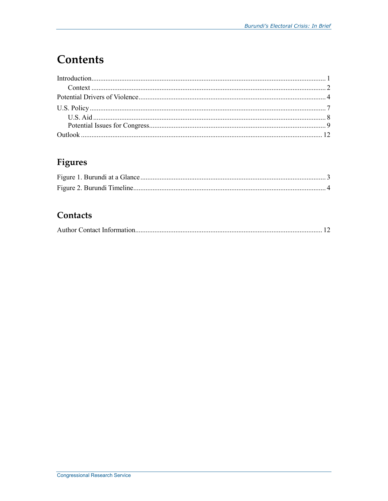## **Contents**

### Figures

### Contacts

|--|--|--|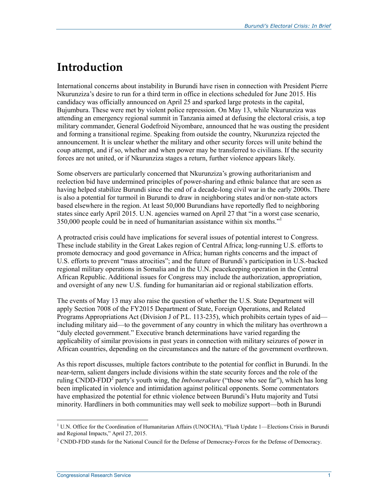## **Introduction**

International concerns about instability in Burundi have risen in connection with President Pierre Nkurunziza's desire to run for a third term in office in elections scheduled for June 2015. His candidacy was officially announced on April 25 and sparked large protests in the capital, Bujumbura. These were met by violent police repression. On May 13, while Nkurunziza was attending an emergency regional summit in Tanzania aimed at defusing the electoral crisis, a top military commander, General Godefroid Niyombare, announced that he was ousting the president and forming a transitional regime. Speaking from outside the country, Nkurunziza rejected the announcement. It is unclear whether the military and other security forces will unite behind the coup attempt, and if so, whether and when power may be transferred to civilians. If the security forces are not united, or if Nkurunziza stages a return, further violence appears likely.

Some observers are particularly concerned that Nkurunziza's growing authoritarianism and reelection bid have undermined principles of power-sharing and ethnic balance that are seen as having helped stabilize Burundi since the end of a decade-long civil war in the early 2000s. There is also a potential for turmoil in Burundi to draw in neighboring states and/or non-state actors based elsewhere in the region. At least 50,000 Burundians have reportedly fled to neighboring states since early April 2015. U.N. agencies warned on April 27 that "in a worst case scenario, 350,000 people could be in need of humanitarian assistance within six months."1

A protracted crisis could have implications for several issues of potential interest to Congress. These include stability in the Great Lakes region of Central Africa; long-running U.S. efforts to promote democracy and good governance in Africa; human rights concerns and the impact of U.S. efforts to prevent "mass atrocities"; and the future of Burundi's participation in U.S.-backed regional military operations in Somalia and in the U.N. peacekeeping operation in the Central African Republic. Additional issues for Congress may include the authorization, appropriation, and oversight of any new U.S. funding for humanitarian aid or regional stabilization efforts.

The events of May 13 may also raise the question of whether the U.S. State Department will apply Section 7008 of the FY2015 Department of State, Foreign Operations, and Related Programs Appropriations Act (Division J of P.L. 113-235), which prohibits certain types of aid including military aid—to the government of any country in which the military has overthrown a "duly elected government." Executive branch determinations have varied regarding the applicability of similar provisions in past years in connection with military seizures of power in African countries, depending on the circumstances and the nature of the government overthrown.

As this report discusses, multiple factors contribute to the potential for conflict in Burundi. In the near-term, salient dangers include divisions within the state security forces and the role of the ruling CNDD-FDD<sup>2</sup> party's youth wing, the *Imbonerakure* ("those who see far"), which has long been implicated in violence and intimidation against political opponents. Some commentators have emphasized the potential for ethnic violence between Burundi's Hutu majority and Tutsi minority. Hardliners in both communities may well seek to mobilize support—both in Burundi

<sup>&</sup>lt;sup>1</sup> U.N. Office for the Coordination of Humanitarian Affairs (UNOCHA), "Flash Update 1—Elections Crisis in Burundi and Regional Impacts," April 27, 2015.

<sup>&</sup>lt;sup>2</sup> CNDD-FDD stands for the National Council for the Defense of Democracy-Forces for the Defense of Democracy.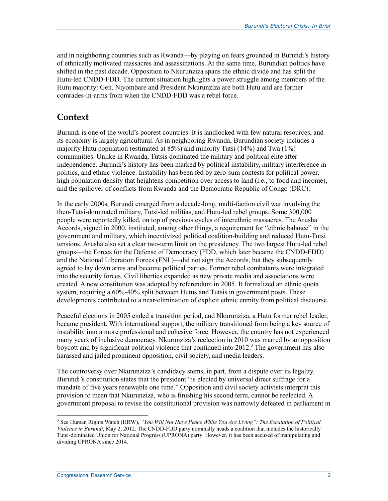and in neighboring countries such as Rwanda—by playing on fears grounded in Burundi's history of ethnically motivated massacres and assassinations. At the same time, Burundian politics have shifted in the past decade. Opposition to Nkurunziza spans the ethnic divide and has split the Hutu-led CNDD-FDD. The current situation highlights a power struggle among members of the Hutu majority: Gen. Niyombare and President Nkurunziza are both Hutu and are former comrades-in-arms from when the CNDD-FDD was a rebel force.

### **Context**

Burundi is one of the world's poorest countries. It is landlocked with few natural resources, and its economy is largely agricultural. As in neighboring Rwanda, Burundian society includes a majority Hutu population (estimated at 85%) and minority Tutsi (14%) and Twa (1%) communities. Unlike in Rwanda, Tutsis dominated the military and political elite after independence. Burundi's history has been marked by political instability, military interference in politics, and ethnic violence. Instability has been fed by zero-sum contests for political power, high population density that heightens competition over access to land (i.e., to food and income), and the spillover of conflicts from Rwanda and the Democratic Republic of Congo (DRC).

In the early 2000s, Burundi emerged from a decade-long, multi-faction civil war involving the then-Tutsi-dominated military, Tutsi-led militias, and Hutu-led rebel groups. Some 300,000 people were reportedly killed, on top of previous cycles of interethnic massacres. The Arusha Accords, signed in 2000, instituted, among other things, a requirement for "ethnic balance" in the government and military, which incentivized political coalition-building and reduced Hutu-Tutsi tensions. Arusha also set a clear two-term limit on the presidency. The two largest Hutu-led rebel groups—the Forces for the Defense of Democracy (FDD, which later became the CNDD-FDD) and the National Liberation Forces (FNL)—did not sign the Accords, but they subsequently agreed to lay down arms and become political parties. Former rebel combatants were integrated into the security forces. Civil liberties expanded as new private media and associations were created. A new constitution was adopted by referendum in 2005. It formalized an ethnic quota system, requiring a 60%-40% split between Hutus and Tutsis in government posts. These developments contributed to a near-elimination of explicit ethnic enmity from political discourse.

Peaceful elections in 2005 ended a transition period, and Nkurunziza, a Hutu former rebel leader, became president. With international support, the military transitioned from being a key source of instability into a more professional and cohesive force. However, the country has not experienced many years of inclusive democracy. Nkurunziza's reelection in 2010 was marred by an opposition boycott and by significant political violence that continued into  $2012$ <sup>3</sup>. The government has also harassed and jailed prominent opposition, civil society, and media leaders.

The controversy over Nkurunziza's candidacy stems, in part, from a dispute over its legality. Burundi's constitution states that the president "is elected by universal direct suffrage for a mandate of five years renewable one time." Opposition and civil society activists interpret this provision to mean that Nkurunziza, who is finishing his second term, cannot be reelected. A government proposal to revise the constitutional provision was narrowly defeated in parliament in

<sup>&</sup>lt;sup>3</sup> See Human Rights Watch (HRW), "*You Will Not Have Peace While You Are Living*": The Escalation of Political *Violence in Burundi*, May 2, 2012. The CNDD-FDD party nominally heads a coalition that includes the historically Tutsi-dominated Union for National Progress (UPRONA) party. However, it has been accused of manipulating and dividing UPRONA since 2014.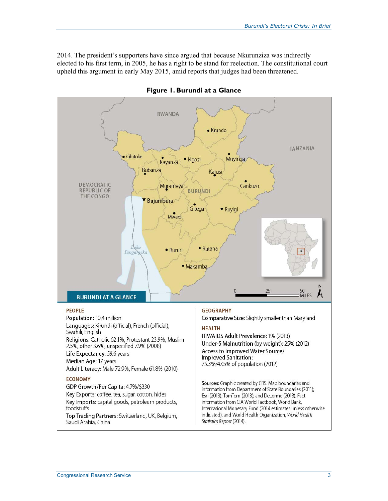2014. The president's supporters have since argued that because Nkurunziza was indirectly elected to his first term, in 2005, he has a right to be stand for reelection. The constitutional court upheld this argument in early May 2015, amid reports that judges had been threatened.



**Figure 1. Burundi at a Glance**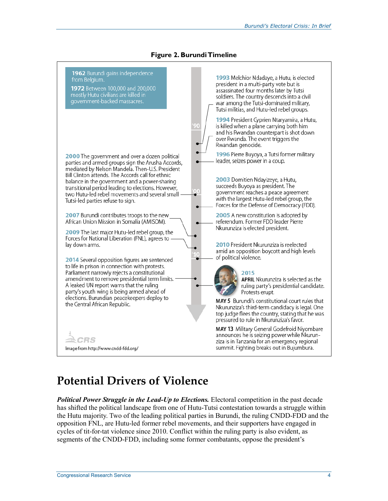

#### **Figure 2. Burundi Timeline**

### **Potential Drivers of Violence**

**Political Power Struggle in the Lead-Up to Elections.** Electoral competition in the past decade has shifted the political landscape from one of Hutu-Tutsi contestation towards a struggle within the Hutu majority. Two of the leading political parties in Burundi, the ruling CNDD-FDD and the opposition FNL, are Hutu-led former rebel movements, and their supporters have engaged in cycles of tit-for-tat violence since 2010. Conflict within the ruling party is also evident, as segments of the CNDD-FDD, including some former combatants, oppose the president's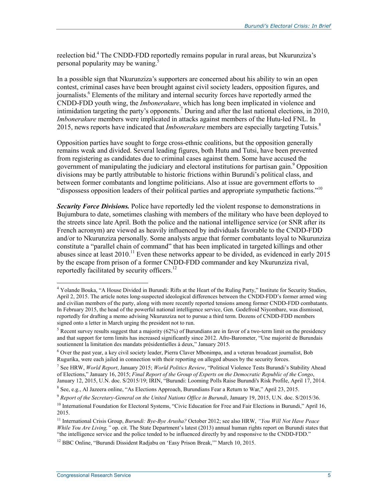reelection bid.<sup>4</sup> The CNDD-FDD reportedly remains popular in rural areas, but Nkurunziza's personal popularity may be waning.<sup>3</sup>

In a possible sign that Nkurunziza's supporters are concerned about his ability to win an open contest, criminal cases have been brought against civil society leaders, opposition figures, and journalists.<sup>6</sup> Elements of the military and internal security forces have reportedly armed the CNDD-FDD youth wing, the *Imbonerakure*, which has long been implicated in violence and intimidation targeting the party's opponents.<sup>7</sup> During and after the last national elections, in 2010, *Imbonerakure* members were implicated in attacks against members of the Hutu-led FNL. In 2015, news reports have indicated that *Imbonerakure* members are especially targeting Tutsis.8

Opposition parties have sought to forge cross-ethnic coalitions, but the opposition generally remains weak and divided. Several leading figures, both Hutu and Tutsi, have been prevented from registering as candidates due to criminal cases against them. Some have accused the government of manipulating the judiciary and electoral institutions for partisan gain.<sup>9</sup> Opposition divisions may be partly attributable to historic frictions within Burundi's political class, and between former combatants and longtime politicians. Also at issue are government efforts to "dispossess opposition leaders of their political parties and appropriate sympathetic factions."10

*Security Force Divisions.* Police have reportedly led the violent response to demonstrations in Bujumbura to date, sometimes clashing with members of the military who have been deployed to the streets since late April. Both the police and the national intelligence service (or SNR after its French acronym) are viewed as heavily influenced by individuals favorable to the CNDD-FDD and/or to Nkurunziza personally. Some analysts argue that former combatants loyal to Nkurunziza constitute a "parallel chain of command" that has been implicated in targeted killings and other abuses since at least  $2010$ .<sup>11</sup> Even these networks appear to be divided, as evidenced in early  $2015$ by the escape from prison of a former CNDD-FDD commander and key Nkurunziza rival, reportedly facilitated by security officers.<sup>12</sup>

 4 Yolande Bouka, "A House Divided in Burundi: Rifts at the Heart of the Ruling Party," Institute for Security Studies, April 2, 2015. The article notes long-suspected ideological differences between the CNDD-FDD's former armed wing and civilian members of the party, along with more recently reported tensions among former CNDD-FDD combatants. In February 2015, the head of the powerful national intelligence service, Gen. Godefroid Niyombare, was dismissed, reportedly for drafting a memo advising Nkurunziza not to pursue a third term. Dozens of CNDD-FDD members signed onto a letter in March urging the president not to run.

<sup>&</sup>lt;sup>5</sup> Recent survey results suggest that a majority (62%) of Burundians are in favor of a two-term limit on the presidency and that support for term limits has increased significantly since 2012. Afro-Barometer, "Une majorité de Burundais soutiennent la limitation des mandats présidentielles à deux," January 2015.

<sup>6</sup> Over the past year, a key civil society leader, Pierra Claver Mbonimpa, and a veteran broadcast journalist, Bob Rugurika, were each jailed in connection with their reporting on alleged abuses by the security forces.

<sup>7</sup> See HRW, *World Report*, January 2015; *World Politics Review*, "Political Violence Tests Burundi's Stability Ahead of Elections," January 16, 2015; *Final Report of the Group of Experts on the Democratic Republic of the Congo*, January 12, 2015, U.N. doc. S/2015/19; IRIN, "Burundi: Looming Polls Raise Burundi's Risk Profile, April 17, 2014.

<sup>8</sup> See, e.g., Al Jazeera online, "As Elections Approach, Burundians Fear a Return to War," April 23, 2015.

<sup>9</sup> *Report of the Secretary-General on the United Nations Office in Burundi*, January 19, 2015, U.N. doc. S/2015/36.

<sup>&</sup>lt;sup>10</sup> International Foundation for Electoral Systems, "Civic Education for Free and Fair Elections in Burundi," April 16, 2015.

<sup>11</sup> International Crisis Group, *Burundi: Bye-Bye Arusha?* October 2012; see also HRW, *"You Will Not Have Peace While You Are Living,"* op. cit. The State Department's latest (2013) annual human rights report on Burundi states that "the intelligence service and the police tended to be influenced directly by and responsive to the CNDD-FDD."

<sup>&</sup>lt;sup>12</sup> BBC Online, "Burundi Dissident Radjabu on 'Easy Prison Break," March 10, 2015.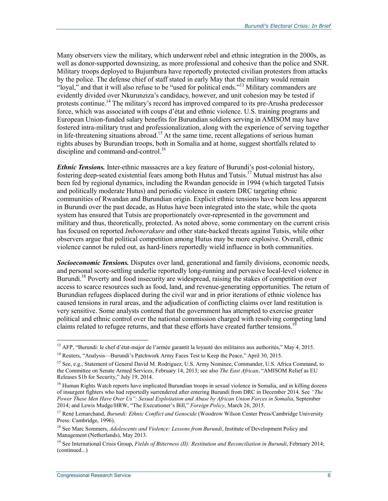Many observers view the military, which underwent rebel and ethnic integration in the 2000s, as well as donor-supported downsizing, as more professional and cohesive than the police and SNR. Military troops deployed to Bujumbura have reportedly protected civilian protesters from attacks by the police. The defense chief of staff stated in early May that the military would remain "loyal," and that it will also refuse to be "used for political ends."<sup>13</sup> Military commanders are evidently divided over Nkurunziza's candidacy, however, and unit cohesion may be tested if protests continue.<sup>14</sup> The military's record has improved compared to its pre-Arusha predecessor force, which was associated with coups d'état and ethnic violence. U.S. training programs and European Union-funded salary benefits for Burundian soldiers serving in AMISOM may have fostered intra-military trust and professionalization, along with the experience of serving together in life-threatening situations abroad.<sup>15</sup> At the same time, recent allegations of serious human rights abuses by Burundian troops, both in Somalia and at home, suggest shortfalls related to discipline and command-and-control.<sup>16</sup>

*Ethnic Tensions.* Inter-ethnic massacres are a key feature of Burundi's post-colonial history, fostering deep-seated existential fears among both Hutus and Tutsis.<sup>17</sup> Mutual mistrust has also been fed by regional dynamics, including the Rwandan genocide in 1994 (which targeted Tutsis and politically moderate Hutus) and periodic violence in eastern DRC targeting ethnic communities of Rwandan and Burundian origin. Explicit ethnic tensions have been less apparent in Burundi over the past decade, as Hutus have been integrated into the state, while the quota system has ensured that Tutsis are proportionately over-represented in the government and military and thus, theoretically, protected. As noted above, some commentary on the current crisis has focused on reported *Imbonerakure* and other state-backed threats against Tutsis, while other observers argue that political competition among Hutus may be more explosive. Overall, ethnic violence cannot be ruled out, as hard-liners reportedly wield influence in both communities.

*Socioeconomic Tensions.* Disputes over land, generational and family divisions, economic needs, and personal score-settling underlie reportedly long-running and pervasive local-level violence in Burundi.<sup>18</sup> Poverty and food insecurity are widespread, raising the stakes of competition over access to scarce resources such as food, land, and revenue-generating opportunities. The return of Burundian refugees displaced during the civil war and in prior iterations of ethnic violence has caused tensions in rural areas, and the adjudication of conflicting claims over land restitution is very sensitive. Some analysts contend that the government has attempted to exercise greater political and ethnic control over the national commission charged with resolving competing land claims related to refugee returns, and that these efforts have created further tensions.<sup>1</sup>

<u>.</u>

<sup>&</sup>lt;sup>13</sup> AFP, "Burundi: le chef d'état-major de l'armée garantit la loyauté des militaires aux authorités," May 4, 2015.

<sup>&</sup>lt;sup>14</sup> Reuters, "Analysis—Burundi's Patchwork Army Faces Test to Keep the Peace," April 30, 2015.

<sup>&</sup>lt;sup>15</sup> See, e.g., Statement of General David M. Rodriguez, U.S. Army Nominee, Commander, U.S. Africa Command, to the Committee on Senate Armed Services, February 14, 2013; see also *The East African*, "AMISOM Relief as EU Releases \$1b for Security," July 19, 2014.

<sup>&</sup>lt;sup>16</sup> Human Rights Watch reports have implicated Burundian troops in sexual violence in Somalia, and in killing dozens of insurgent fighters who had reportedly surrendered after entering Burundi from DRC in December 2014. See *"The Power These Men Have Over Us": Sexual Exploitation and Abuse by African Union Forces in Somalia*, September 2014; and Lewis Mudge/HRW, "The Executioner's Bill," *Foreign Policy*, March 26, 2015.

<sup>&</sup>lt;sup>17</sup> René Lemarchand, *Burundi: Ethnic Conflict and Genocide* (Woodrow Wilson Center Press/Cambridge University Press: Cambridge, 1996).

<sup>18</sup> See Marc Sommers, *Adolescents and Violence: Lessons from Burundi*, Institute of Development Policy and Management (Netherlands), May 2013.

<sup>19</sup> See International Crisis Group, *Fields of Bitterness (II): Restitution and Reconciliation in Burundi*, February 2014; (continued...)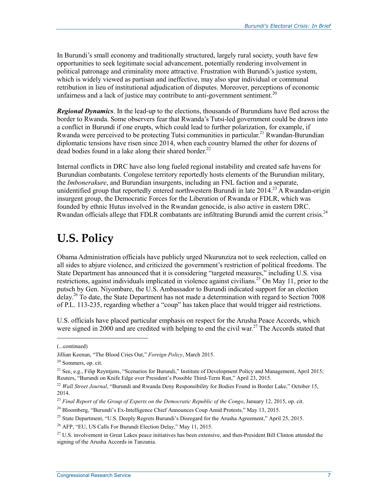In Burundi's small economy and traditionally structured, largely rural society, youth have few opportunities to seek legitimate social advancement, potentially rendering involvement in political patronage and criminality more attractive. Frustration with Burundi's justice system, which is widely viewed as partisan and ineffective, may also spur individual or communal retribution in lieu of institutional adjudication of disputes. Moreover, perceptions of economic unfairness and a lack of justice may contribute to anti-government sentiment.<sup>20</sup>

*Regional Dynamics*. In the lead-up to the elections, thousands of Burundians have fled across the border to Rwanda. Some observers fear that Rwanda's Tutsi-led government could be drawn into a conflict in Burundi if one erupts, which could lead to further polarization, for example, if Rwanda were perceived to be protecting Tutsi communities in particular.<sup>21</sup> Rwandan-Burundian diplomatic tensions have risen since 2014, when each country blamed the other for dozens of dead bodies found in a lake along their shared border.<sup>22</sup>

Internal conflicts in DRC have also long fueled regional instability and created safe havens for Burundian combatants. Congolese territory reportedly hosts elements of the Burundian military, the *Imbonerakure*, and Burundian insurgents, including an FNL faction and a separate, unidentified group that reportedly entered northwestern Burundi in late  $2014<sup>23</sup>$  A Rwandan-origin insurgent group, the Democratic Forces for the Liberation of Rwanda or FDLR, which was founded by ethnic Hutus involved in the Rwandan genocide, is also active in eastern DRC. Rwandan officials allege that FDLR combatants are infiltrating Burundi amid the current crisis.<sup>24</sup>

## **U.S. Policy**

Obama Administration officials have publicly urged Nkurunziza not to seek reelection, called on all sides to abjure violence, and criticized the government's restriction of political freedoms. The State Department has announced that it is considering "targeted measures," including U.S. visa restrictions, against individuals implicated in violence against civilians.<sup>25</sup> On May 11, prior to the putsch by Gen. Niyombare, the U.S. Ambassador to Burundi indicated support for an election delay.<sup>26</sup> To date, the State Department has not made a determination with regard to Section 7008 of P.L. 113-235, regarding whether a "coup" has taken place that would trigger aid restrictions.

U.S. officials have placed particular emphasis on respect for the Arusha Peace Accords, which were signed in 2000 and are credited with helping to end the civil war.<sup>27</sup> The Accords stated that

<sup>(...</sup>continued)

Jillian Keenan, "The Blood Cries Out," *Foreign Policy*, March 2015.

<sup>20</sup> Sommers, op. cit.

<sup>&</sup>lt;sup>21</sup> See, e.g., Filip Reyntjens, "Scenarios for Burundi," Institute of Development Policy and Management, April 2015; Reuters, "Burundi on Knife Edge over President's Possible Third-Term Run," April 23, 2015.

<sup>&</sup>lt;sup>22</sup> Wall Street Journal, "Burundi and Rwanda Deny Responsibility for Bodies Found in Border Lake," October 15, 2014.

<sup>&</sup>lt;sup>23</sup> Final Report of the Group of Experts on the Democratic Republic of the Congo, January 12, 2015, op. cit.

<sup>&</sup>lt;sup>24</sup> Bloomberg, "Burundi's Ex-Intelligence Chief Announces Coup Amid Protests," May 13, 2015.

<sup>&</sup>lt;sup>25</sup> State Department, "U.S. Deeply Regrets Burundi's Disregard for the Arusha Agreement," April 25, 2015.

<sup>26</sup> AFP, "EU, US Calls For Burundi Election Delay," May 11, 2015.

 $27$  U.S. involvement in Great Lakes peace initiatives has been extensive, and then-President Bill Clinton attended the signing of the Arusha Accords in Tanzania.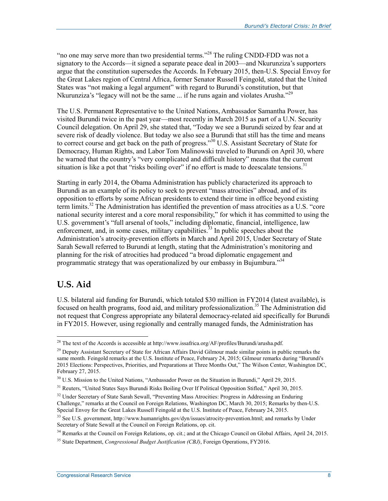"no one may serve more than two presidential terms."<sup>28</sup> The ruling CNDD-FDD was not a signatory to the Accords—it signed a separate peace deal in 2003—and Nkurunziza's supporters argue that the constitution supersedes the Accords. In February 2015, then-U.S. Special Envoy for the Great Lakes region of Central Africa, former Senator Russell Feingold, stated that the United States was "not making a legal argument" with regard to Burundi's constitution, but that Nkurunziza's "legacy will not be the same ... if he runs again and violates Arusha."<sup>29</sup>

The U.S. Permanent Representative to the United Nations, Ambassador Samantha Power, has visited Burundi twice in the past year—most recently in March 2015 as part of a U.N. Security Council delegation. On April 29, she stated that, "Today we see a Burundi seized by fear and at severe risk of deadly violence. But today we also see a Burundi that still has the time and means to correct course and get back on the path of progress."<sup>30</sup> U.S. Assistant Secretary of State for Democracy, Human Rights, and Labor Tom Malinowski traveled to Burundi on April 30, where he warned that the country's "very complicated and difficult history" means that the current situation is like a pot that "risks boiling over" if no effort is made to deescalate tensions.<sup>31</sup>

Starting in early 2014, the Obama Administration has publicly characterized its approach to Burundi as an example of its policy to seek to prevent "mass atrocities" abroad, and of its opposition to efforts by some African presidents to extend their time in office beyond existing term limits.<sup>32</sup> The Administration has identified the prevention of mass atrocities as a U.S. "core national security interest and a core moral responsibility," for which it has committed to using the U.S. government's "full arsenal of tools," including diplomatic, financial, intelligence, law enforcement, and, in some cases, military capabilities. $33$  In public speeches about the Administration's atrocity-prevention efforts in March and April 2015, Under Secretary of State Sarah Sewall referred to Burundi at length, stating that the Administration's monitoring and planning for the risk of atrocities had produced "a broad diplomatic engagement and programmatic strategy that was operationalized by our embassy in Bujumbura."<sup>34</sup>

### **U.S. Aid**

<u>.</u>

U.S. bilateral aid funding for Burundi, which totaled \$30 million in FY2014 (latest available), is focused on health programs, food aid, and military professionalization.<sup>35</sup> The Administration did not request that Congress appropriate any bilateral democracy-related aid specifically for Burundi in FY2015. However, using regionally and centrally managed funds, the Administration has

<sup>34</sup> Remarks at the Council on Foreign Relations, op. cit.; and at the Chicago Council on Global Affairs, April 24, 2015.

<sup>&</sup>lt;sup>28</sup> The text of the Accords is accessible at http://www.issafrica.org/AF/profiles/Burundi/arusha.pdf.

<sup>&</sup>lt;sup>29</sup> Deputy Assistant Secretary of State for African Affairs David Gilmour made similar points in public remarks the same month. Feingold remarks at the U.S. Institute of Peace, February 24, 2015; Gilmour remarks during "Burundi's 2015 Elections: Perspectives, Priorities, and Preparations at Three Months Out," The Wilson Center, Washington DC, February 27, 2015.

<sup>&</sup>lt;sup>30</sup> U.S. Mission to the United Nations, "Ambassador Power on the Situation in Burundi," April 29, 2015.

<sup>&</sup>lt;sup>31</sup> Reuters, "United States Says Burundi Risks Boiling Over If Political Opposition Stifled," April 30, 2015.

<sup>&</sup>lt;sup>32</sup> Under Secretary of State Sarah Sewall, "Preventing Mass Atrocities: Progress in Addressing an Enduring Challenge," remarks at the Council on Foreign Relations, Washington DC, March 30, 2015; Remarks by then-U.S. Special Envoy for the Great Lakes Russell Feingold at the U.S. Institute of Peace, February 24, 2015.

<sup>&</sup>lt;sup>33</sup> See U.S. government, http://www.humanrights.gov/dyn/issues/atrocity-prevention.html; and remarks by Under Secretary of State Sewall at the Council on Foreign Relations, op. cit.

<sup>35</sup> State Department, *Congressional Budget Justification (CBJ)*, Foreign Operations, FY2016.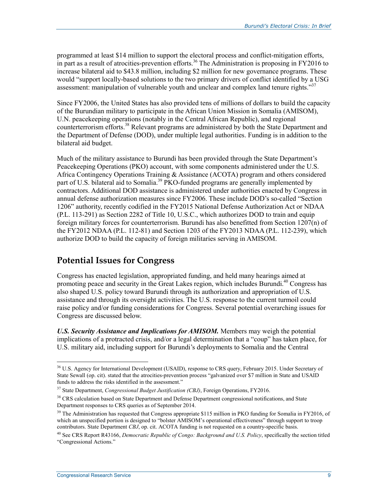programmed at least \$14 million to support the electoral process and conflict-mitigation efforts, in part as a result of atrocities-prevention efforts.<sup>36</sup> The Administration is proposing in FY2016 to increase bilateral aid to \$43.8 million, including \$2 million for new governance programs. These would "support locally-based solutions to the two primary drivers of conflict identified by a USG assessment: manipulation of vulnerable youth and unclear and complex land tenure rights."<sup>37</sup>

Since FY2006, the United States has also provided tens of millions of dollars to build the capacity of the Burundian military to participate in the African Union Mission in Somalia (AMISOM), U.N. peacekeeping operations (notably in the Central African Republic), and regional counterterrorism efforts.<sup>38</sup> Relevant programs are administered by both the State Department and the Department of Defense (DOD), under multiple legal authorities. Funding is in addition to the bilateral aid budget.

Much of the military assistance to Burundi has been provided through the State Department's Peacekeeping Operations (PKO) account, with some components administered under the U.S. Africa Contingency Operations Training & Assistance (ACOTA) program and others considered part of U.S. bilateral aid to Somalia.<sup>39</sup> PKO-funded programs are generally implemented by contractors. Additional DOD assistance is administered under authorities enacted by Congress in annual defense authorization measures since FY2006. These include DOD's so-called "Section 1206" authority, recently codified in the FY2015 National Defense Authorization Act or NDAA (P.L. 113-291) as Section 2282 of Title 10, U.S.C., which authorizes DOD to train and equip foreign military forces for counterterrorism. Burundi has also benefitted from Section 1207(n) of the FY2012 NDAA (P.L. 112-81) and Section 1203 of the FY2013 NDAA (P.L. 112-239), which authorize DOD to build the capacity of foreign militaries serving in AMISOM.

### **Potential Issues for Congress**

Congress has enacted legislation, appropriated funding, and held many hearings aimed at promoting peace and security in the Great Lakes region, which includes Burundi.<sup>40</sup> Congress has also shaped U.S. policy toward Burundi through its authorization and appropriation of U.S. assistance and through its oversight activities. The U.S. response to the current turmoil could raise policy and/or funding considerations for Congress. Several potential overarching issues for Congress are discussed below.

*U.S. Security Assistance and Implications for AMISOM.* Members may weigh the potential implications of a protracted crisis, and/or a legal determination that a "coup" has taken place, for U.S. military aid, including support for Burundi's deployments to Somalia and the Central

<sup>&</sup>lt;u>.</u> <sup>36</sup> U.S. Agency for International Development (USAID), response to CRS query, February 2015. Under Secretary of State Sewall (op. cit). stated that the atrocities-prevention process "galvanized over \$7 million in State and USAID funds to address the risks identified in the assessment."

<sup>37</sup> State Department, *Congressional Budget Justification (CBJ)*, Foreign Operations, FY2016.

<sup>&</sup>lt;sup>38</sup> CRS calculation based on State Department and Defense Department congressional notifications, and State Department responses to CRS queries as of September 2014.

<sup>&</sup>lt;sup>39</sup> The Administration has requested that Congress appropriate \$115 million in PKO funding for Somalia in FY2016, of which an unspecified portion is designed to "bolster AMISOM's operational effectiveness" through support to troop contributors. State Department *CBJ*, op. cit. ACOTA funding is not requested on a country-specific basis.

<sup>40</sup> See CRS Report R43166, *Democratic Republic of Congo: Background and U.S. Policy*, specifically the section titled "Congressional Actions."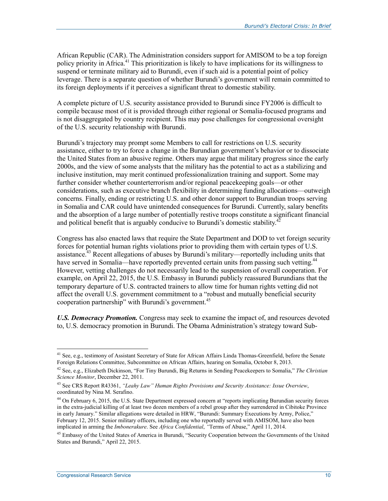African Republic (CAR). The Administration considers support for AMISOM to be a top foreign policy priority in Africa.<sup>41</sup> This prioritization is likely to have implications for its willingness to suspend or terminate military aid to Burundi, even if such aid is a potential point of policy leverage. There is a separate question of whether Burundi's government will remain committed to its foreign deployments if it perceives a significant threat to domestic stability.

A complete picture of U.S. security assistance provided to Burundi since FY2006 is difficult to compile because most of it is provided through either regional or Somalia-focused programs and is not disaggregated by country recipient. This may pose challenges for congressional oversight of the U.S. security relationship with Burundi.

Burundi's trajectory may prompt some Members to call for restrictions on U.S. security assistance, either to try to force a change in the Burundian government's behavior or to dissociate the United States from an abusive regime. Others may argue that military progress since the early 2000s, and the view of some analysts that the military has the potential to act as a stabilizing and inclusive institution, may merit continued professionalization training and support. Some may further consider whether counterterrorism and/or regional peacekeeping goals—or other considerations, such as executive branch flexibility in determining funding allocations—outweigh concerns. Finally, ending or restricting U.S. and other donor support to Burundian troops serving in Somalia and CAR could have unintended consequences for Burundi. Currently, salary benefits and the absorption of a large number of potentially restive troops constitute a significant financial and political benefit that is arguably conducive to Burundi's domestic stability.<sup>42</sup>

Congress has also enacted laws that require the State Department and DOD to vet foreign security forces for potential human rights violations prior to providing them with certain types of U.S. assistance.<sup>43</sup> Recent allegations of abuses by Burundi's military—reportedly including units that have served in Somalia—have reportedly prevented certain units from passing such vetting.<sup>44</sup> However, vetting challenges do not necessarily lead to the suspension of overall cooperation. For example, on April 22, 2015, the U.S. Embassy in Burundi publicly reassured Burundians that the temporary departure of U.S. contracted trainers to allow time for human rights vetting did not affect the overall U.S. government commitment to a "robust and mutually beneficial security cooperation partnership" with Burundi's government.<sup>45</sup>

*U.S. Democracy Promotion.* Congress may seek to examine the impact of, and resources devoted to, U.S. democracy promotion in Burundi. The Obama Administration's strategy toward Sub-

<u>.</u>

 $41$  See, e.g., testimony of Assistant Secretary of State for African Affairs Linda Thomas-Greenfield, before the Senate Foreign Relations Committee, Subcommittee on African Affairs, hearing on Somalia, October 8, 2013.

<sup>42</sup> See, e.g., Elizabeth Dickinson, "For Tiny Burundi, Big Returns in Sending Peacekeepers to Somalia," *The Christian Science Monitor*, December 22, 2011.

<sup>43</sup> See CRS Report R43361, *"Leahy Law" Human Rights Provisions and Security Assistance: Issue Overview*, coordinated by Nina M. Serafino.

<sup>&</sup>lt;sup>44</sup> On February 6, 2015, the U.S. State Department expressed concern at "reports implicating Burundian security forces in the extra-judicial killing of at least two dozen members of a rebel group after they surrendered in Cibitoke Province in early January." Similar allegations were detailed in HRW, "Burundi: Summary Executions by Army, Police," February 12, 2015. Senior military officers, including one who reportedly served with AMISOM, have also been implicated in arming the *Imbonerakure*. See *Africa Confidential*, *"*Terms of Abuse," April 11, 2014.

<sup>&</sup>lt;sup>45</sup> Embassy of the United States of America in Burundi, "Security Cooperation between the Governments of the United States and Burundi," April 22, 2015.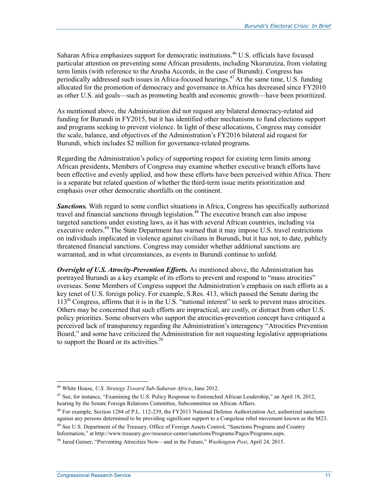Saharan Africa emphasizes support for democratic institutions.<sup>46</sup> U.S. officials have focused particular attention on preventing some African presidents, including Nkurunziza, from violating term limits (with reference to the Arusha Accords, in the case of Burundi). Congress has periodically addressed such issues in Africa-focused hearings.<sup>47</sup> At the same time, U.S. funding allocated for the promotion of democracy and governance in Africa has decreased since FY2010 as other U.S. aid goals—such as promoting health and economic growth—have been prioritized.

As mentioned above, the Administration did not request any bilateral democracy-related aid funding for Burundi in FY2015, but it has identified other mechanisms to fund elections support and programs seeking to prevent violence. In light of these allocations, Congress may consider the scale, balance, and objectives of the Administration's FY2016 bilateral aid request for Burundi, which includes \$2 million for governance-related programs.

Regarding the Administration's policy of supporting respect for existing term limits among African presidents, Members of Congress may examine whether executive branch efforts have been effective and evenly applied, and how these efforts have been perceived within Africa. There is a separate but related question of whether the third-term issue merits prioritization and emphasis over other democratic shortfalls on the continent.

**Sanctions.** With regard to some conflict situations in Africa, Congress has specifically authorized travel and financial sanctions through legislation.<sup>48</sup> The executive branch can also impose targeted sanctions under existing laws, as it has with several African countries, including via executive orders.<sup>49</sup> The State Department has warned that it may impose U.S. travel restrictions on individuals implicated in violence against civilians in Burundi, but it has not, to date, publicly threatened financial sanctions. Congress may consider whether additional sanctions are warranted, and in what circumstances, as events in Burundi continue to unfold.

*Oversight of U.S. Atrocity-Prevention Efforts.* As mentioned above, the Administration has portrayed Burundi as a key example of its efforts to prevent and respond to "mass atrocities" overseas. Some Members of Congress support the Administration's emphasis on such efforts as a key tenet of U.S. foreign policy. For example, S.Res. 413, which passed the Senate during the 113th Congress, affirms that it is in the U.S. "national interest" to seek to prevent mass atrocities. Others may be concerned that such efforts are impractical, are costly, or distract from other U.S. policy priorities. Some observers who support the atrocities-prevention concept have critiqued a perceived lack of transparency regarding the Administration's interagency "Atrocities Prevention Board," and some have criticized the Administration for not requesting legislative appropriations to support the Board or its activities.<sup>50</sup>

<sup>46</sup> White House, *U.S. Strategy Toward Sub-Saharan Africa*, June 2012.

<sup>&</sup>lt;sup>47</sup> See, for instance, "Examining the U.S. Policy Response to Entrenched African Leadership," an April 18, 2012, hearing by the Senate Foreign Relations Committee, Subcommittee on African Affairs.

<sup>&</sup>lt;sup>48</sup> For example, Section 1284 of P.L. 112-239, the FY2013 National Defense Authorization Act, authorized sanctions against any persons determined to be providing significant support to a Congolese rebel movement known as the M23.

<sup>&</sup>lt;sup>49</sup> See U.S. Department of the Treasury, Office of Foreign Assets Control, "Sanctions Programs and Country Information," at http://www.treasury.gov/resource-center/sanctions/Programs/Pages/Programs.aspx.

<sup>50</sup> Jared Genser, "Preventing Atrocities Now—and in the Future," *Washington Post*, April 24, 2015.